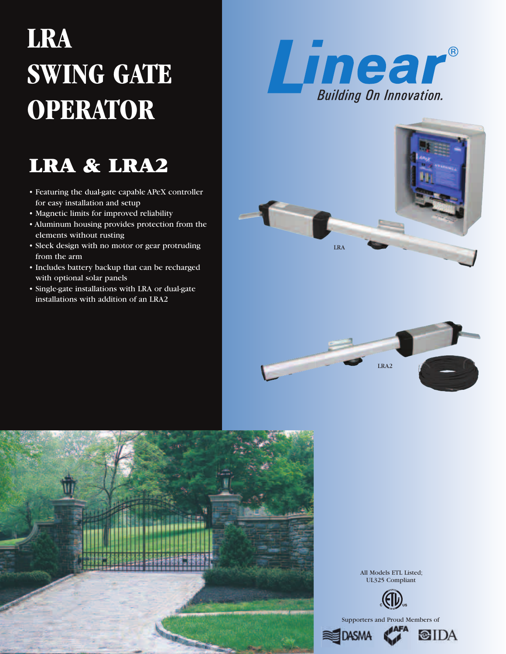# **LRA SWING GATE OPERATOR**

## **LRA & LRA2**

- Featuring the dual-gate capable APeX controller for easy installation and setup
- Magnetic limits for improved reliability
- Aluminum housing provides protection from the elements without rusting
- Sleek design with no motor or gear protruding from the arm
- Includes battery backup that can be recharged with optional solar panels
- Single-gate installations with LRA or dual-gate installations with addition of an LRA2









All Models ETL Listed; UL325 Compliant